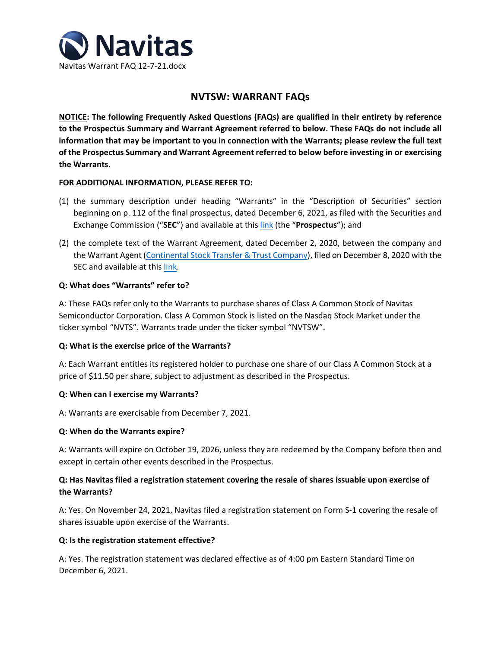

# **NVTSW: WARRANT FAQs**

**NOTICE: The following Frequently Asked Questions (FAQs) are qualified in their entirety by reference to the Prospectus Summary and Warrant Agreement referred to below. These FAQs do not include all information that may be important to you in connection with the Warrants; please review the full text of the Prospectus Summary and Warrant Agreement referred to below before investing in or exercising the Warrants.**

## **FOR ADDITIONAL INFORMATION, PLEASE REFER TO:**

- (1) the summary description under heading "Warrants" in the "Description of Securities" section beginning on p. 112 of the final prospectus, dated December 6, 2021, as filed with the Securities and Exchange Commission ("**SEC**") and available at this [link](https://www.sec.gov/Archives/edgar/data/0001821769/000119312521349698/d262211d424b3.htm) (the "**Prospectus**"); and
- (2) the complete text of the Warrant Agreement, dated December 2, 2020, between the company and the Warrant Agent [\(Continental Stock Transfer & Trust Company\)](https://continentalstock.com/), filed on December 8, 2020 with the SEC and available at this [link.](https://www.sec.gov/Archives/edgar/data/1821769/000121390020041432/ea131107ex4-1_liveoakacq2.htm)

## **Q: What does "Warrants" refer to?**

A: These FAQs refer only to the Warrants to purchase shares of Class A Common Stock of Navitas Semiconductor Corporation. Class A Common Stock is listed on the Nasdaq Stock Market under the ticker symbol "NVTS". Warrants trade under the ticker symbol "NVTSW".

#### **Q: What is the exercise price of the Warrants?**

A: Each Warrant entitles its registered holder to purchase one share of our Class A Common Stock at a price of \$11.50 per share, subject to adjustment as described in the Prospectus.

#### **Q: When can I exercise my Warrants?**

A: Warrants are exercisable from December 7, 2021.

#### **Q: When do the Warrants expire?**

A: Warrants will expire on October 19, 2026, unless they are redeemed by the Company before then and except in certain other events described in the Prospectus.

# **Q: Has Navitas filed a registration statement covering the resale of shares issuable upon exercise of the Warrants?**

A: Yes. On November 24, 2021, Navitas filed a registration statement on Form S-1 covering the resale of shares issuable upon exercise of the Warrants.

#### **Q: Is the registration statement effective?**

A: Yes. The registration statement was declared effective as of 4:00 pm Eastern Standard Time on December 6, 2021.